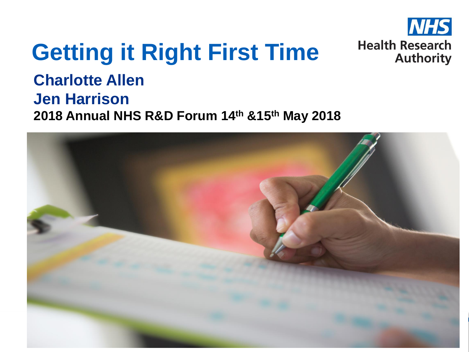

# **Getting it Right First Time**

**Charlotte Allen Jen Harrison 2018 Annual NHS R&D Forum 14th &15th May 2018** 

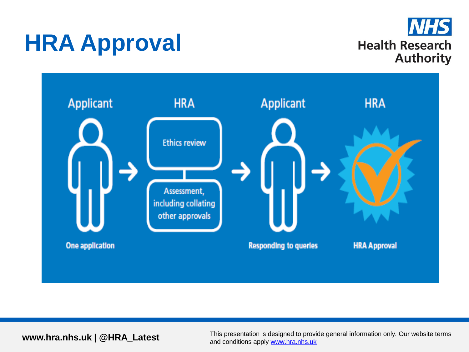## **HRA Approval**



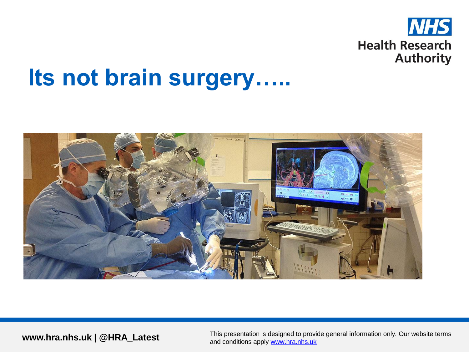

### **Its not brain surgery…..**

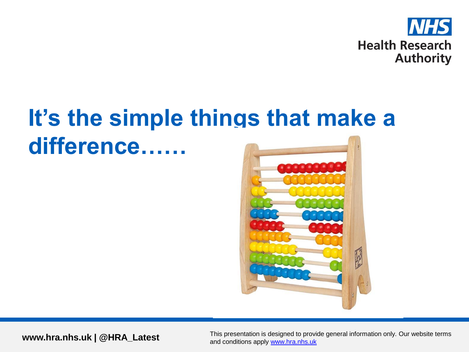

## **It's the simple things that make a difference……**

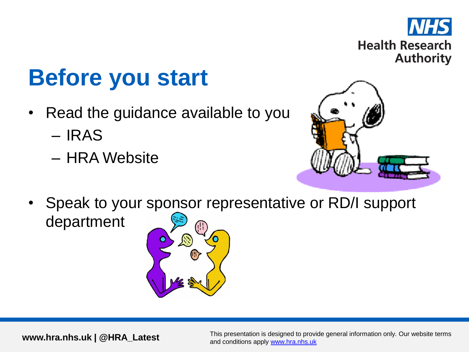

## **Before you start**

- Read the guidance available to you
	- IRAS
	- HRA Website



• Speak to your sponsor representative or RD/I support department

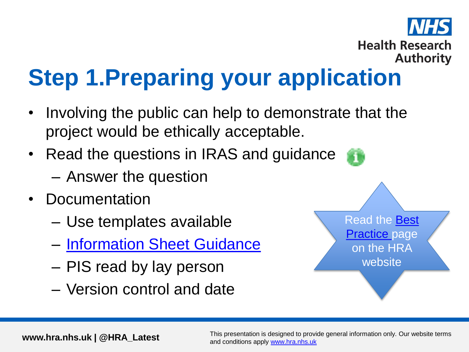

# **Step 1.Preparing your application**

- Involving the public can help to demonstrate that the project would be ethically acceptable.
- Read the questions in IRAS and guidance
	- Answer the question
- Documentation
	- Use templates available
	- [Information Sheet Guidance](http://www.hra-decisiontools.org.uk/consent/)
	- PIS read by lay person
	- Version control and date

Read the [Best](https://www.hra.nhs.uk/planning-and-improving-research/best-practice/)  **[Practice](https://www.hra.nhs.uk/planning-and-improving-research/best-practice/) page** on the HRA website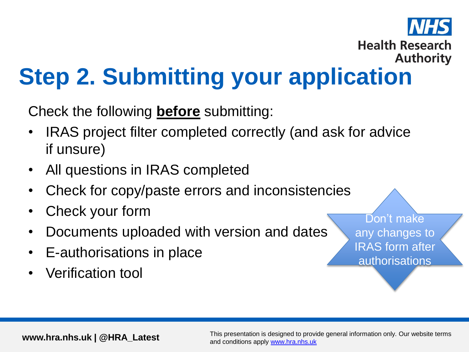#### **Health Research Authority Step 2. Submitting your application**

Check the following **before** submitting:

- IRAS project filter completed correctly (and ask for advice if unsure)
- All questions in IRAS completed
- Check for copy/paste errors and inconsistencies
- Check your form
- Documents uploaded with version and dates
- E-authorisations in place
- Verification tool

Don't make any changes to IRAS form after authorisations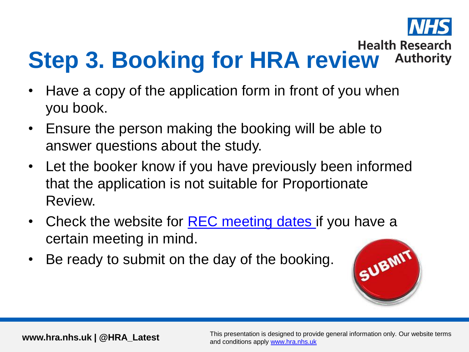

#### **Step 3. Booking for HRA review Authority**

- Have a copy of the application form in front of you when you book.
- Ensure the person making the booking will be able to answer questions about the study.
- Let the booker know if you have previously been informed that the application is not suitable for Proportionate Review.
- Check the website for [REC meeting dates](https://www.hra.nhs.uk/about-us/committees-and-services/res-and-recs/search-research-ethics-committees/) if you have a certain meeting in mind.
- Be ready to submit on the day of the booking.

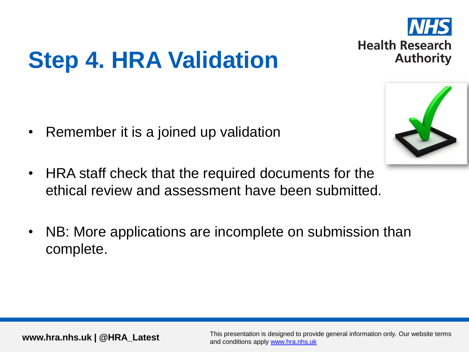

# **Step 4. HRA Validation**

- Remember it is a joined up validation
- HRA staff check that the required documents for the ethical review and assessment have been submitted.
- NB: More applications are incomplete on submission than complete.

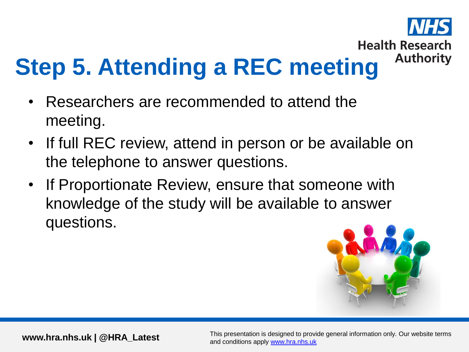

- Researchers are recommended to attend the meeting.
- If full REC review, attend in person or be available on the telephone to answer questions.
- If Proportionate Review, ensure that someone with knowledge of the study will be available to answer questions.

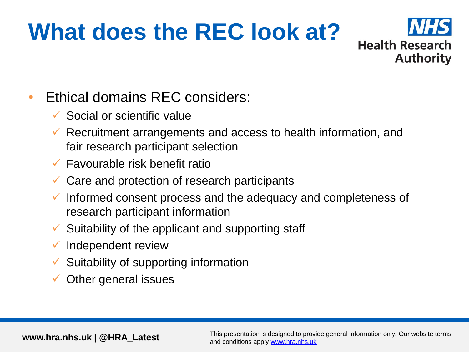## **What does the REC look at?**



#### • Ethical domains REC considers:

- Social or scientific value
- $\checkmark$  Recruitment arrangements and access to health information, and fair research participant selection
- $\checkmark$  Favourable risk benefit ratio
- $\checkmark$  Care and protection of research participants
- $\checkmark$  Informed consent process and the adequacy and completeness of research participant information
- $\checkmark$  Suitability of the applicant and supporting staff
- $\checkmark$  Independent review
- Suitability of supporting information
- Other general issues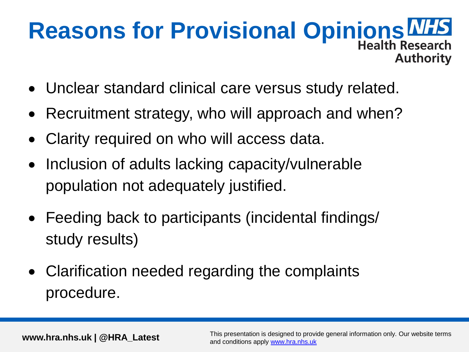#### **Reasons for Provisional Opinions WHS Authority**

- Unclear standard clinical care versus study related.
- Recruitment strategy, who will approach and when?
- Clarity required on who will access data.
- Inclusion of adults lacking capacity/vulnerable population not adequately justified.
- Feeding back to participants (incidental findings/ study results)
- Clarification needed regarding the complaints procedure.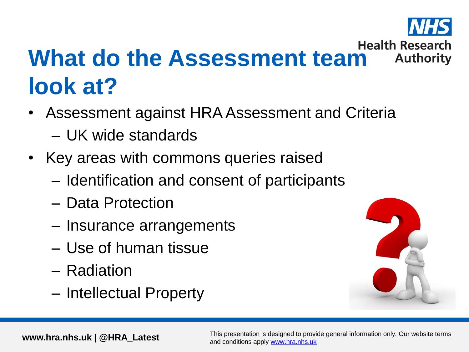

#### Health Research<br>What do the Assessment team Authority **Authority look at?**

- Assessment against HRA Assessment and Criteria – UK wide standards
- Key areas with commons queries raised
	- Identification and consent of participants
	- Data Protection
	- Insurance arrangements
	- Use of human tissue
	- Radiation
	- Intellectual Property

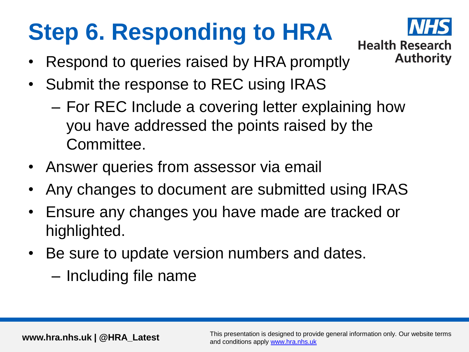# **Step 6. Responding to HRA**



- Respond to queries raised by HRA promptly
- Submit the response to REC using IRAS
	- For REC Include a covering letter explaining how you have addressed the points raised by the Committee.
- Answer queries from assessor via email
- Any changes to document are submitted using IRAS
- Ensure any changes you have made are tracked or highlighted.
- Be sure to update version numbers and dates.
	- Including file name